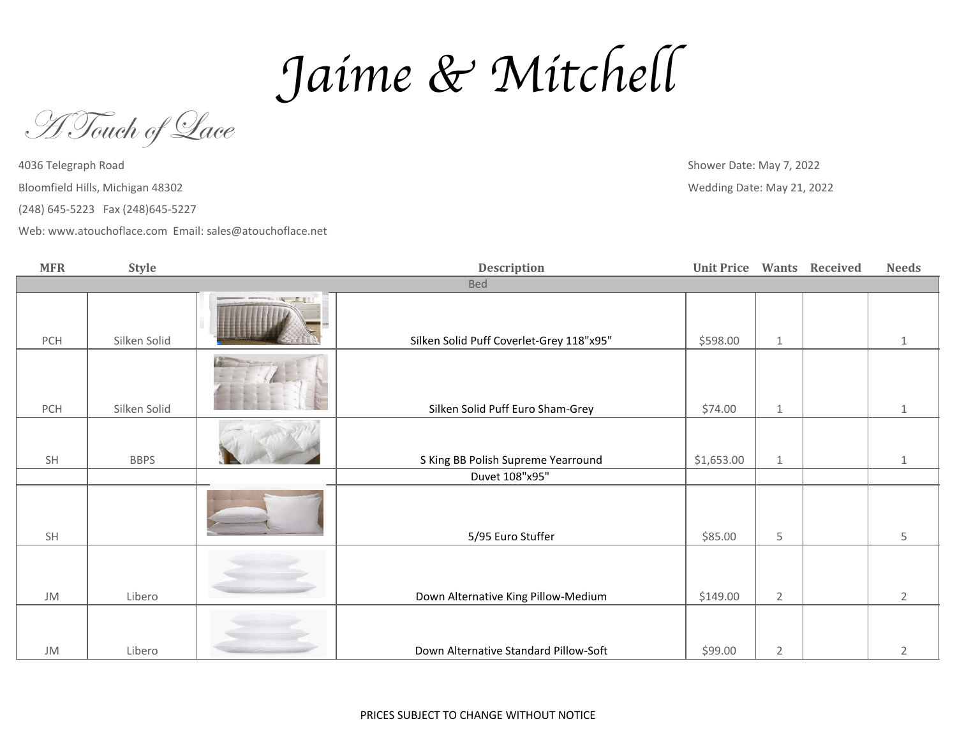*Jaime & Mitchell*

A Touch of Lace

4036 Telegraph Road

Bloomfield Hills, Michigan 48302

(248) 645-5223 Fax (248)645-5227

[Web: www.at](http://www.atouchoflace.com/)ouchoflace.com Email: sales@atouchoflace.net

Shower Date: May 7, 2022 Wedding Date: May 21, 2022

| <b>MFR</b> | Style        |        | <b>Description</b>                       | <b>Unit Price Wants</b> |                | Received | <b>Needs</b>   |
|------------|--------------|--------|------------------------------------------|-------------------------|----------------|----------|----------------|
|            |              |        | Bed                                      |                         |                |          |                |
| PCH        | Silken Solid | $\sim$ | Silken Solid Puff Coverlet-Grey 118"x95" | \$598.00                | $\mathbf{1}$   |          | 1              |
| PCH        | Silken Solid |        | Silken Solid Puff Euro Sham-Grey         | \$74.00                 | $\mathbf{1}$   |          | 1              |
| SH         | <b>BBPS</b>  |        | S King BB Polish Supreme Yearround       | \$1,653.00              | $\mathbf{1}$   |          | 1              |
|            |              |        | Duvet 108"x95"                           |                         |                |          |                |
| SH         |              |        | 5/95 Euro Stuffer                        | \$85.00                 | 5              |          | 5              |
| JM         | Libero       |        | Down Alternative King Pillow-Medium      | \$149.00                | $\overline{2}$ |          | 2              |
| JM         | Libero       |        | Down Alternative Standard Pillow-Soft    | \$99.00                 | $\overline{2}$ |          | $\overline{2}$ |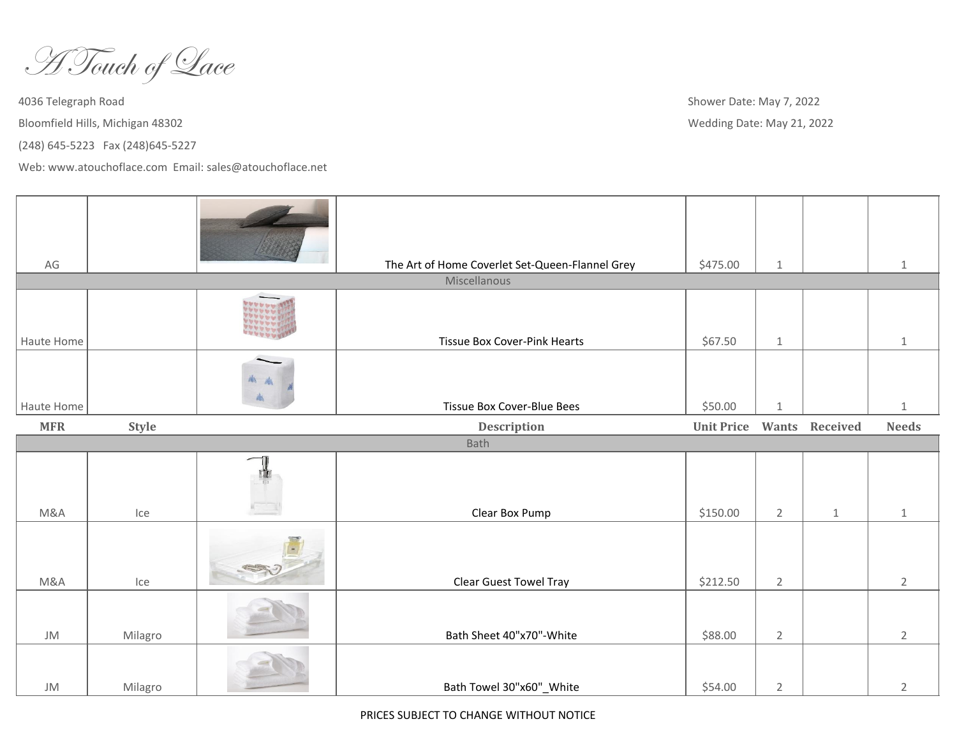A Touch of Lace

(248) 645-5223 Fax (248)645-5227 4036 Telegraph Road Bloomfield Hills, Michigan 48302

[Web: www.at](http://www.atouchoflace.com/)ouchoflace.com Email: sales@atouchoflace.net

Shower Date: May 7, 2022 Wedding Date: May 21, 2022

| AG         |              | The Art of Home Coverlet Set-Queen-Flannel Grey | \$475.00 | $\mathbf 1$    |                           | $\,1\,$        |
|------------|--------------|-------------------------------------------------|----------|----------------|---------------------------|----------------|
|            |              | Miscellanous                                    |          |                |                           |                |
| Haute Home |              | <b>Tissue Box Cover-Pink Hearts</b>             | \$67.50  | $\mathbf{1}$   |                           | $\mathbf{1}$   |
| Haute Home |              | Tissue Box Cover-Blue Bees                      | \$50.00  | $\mathbf 1$    |                           | $\,1\,$        |
| <b>MFR</b> | <b>Style</b> | Description                                     |          |                | Unit Price Wants Received | <b>Needs</b>   |
|            |              | Bath                                            |          |                |                           |                |
| M&A        | Ice          | Clear Box Pump                                  | \$150.00 | $\overline{2}$ | $\,1\,$                   | $\,1\,$        |
| M&A        | Ice          | Clear Guest Towel Tray                          | \$212.50 | $\overline{2}$ |                           | $\overline{2}$ |
| JM         | Milagro      | Bath Sheet 40"x70"-White                        | \$88.00  | $\overline{2}$ |                           | $\overline{2}$ |
| JM         | Milagro      | Bath Towel 30"x60"_White                        | \$54.00  | $\overline{2}$ |                           | $\overline{2}$ |

PRICES SUBJECT TO CHANGE WITHOUT NOTICE